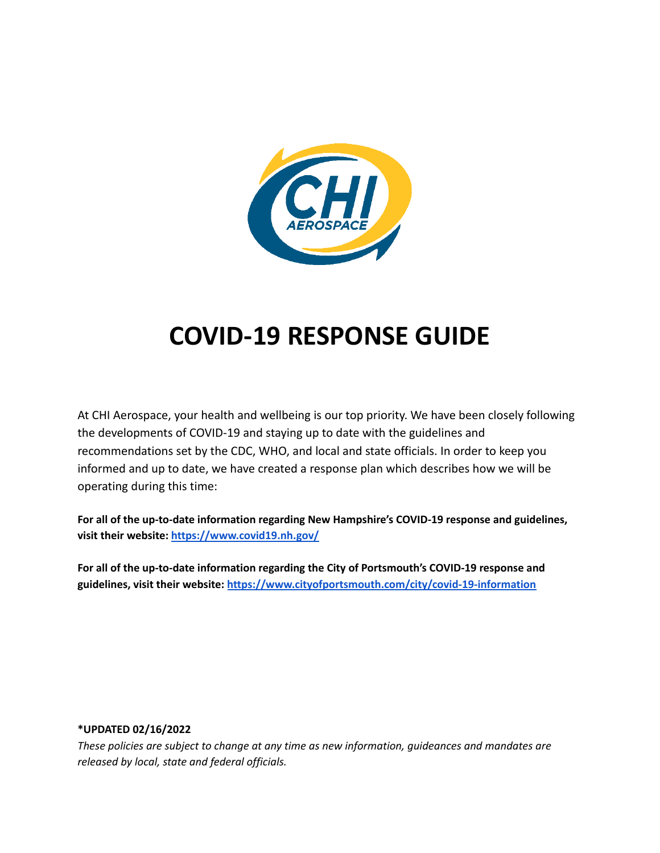

## **COVID-19 RESPONSE GUIDE**

At CHI Aerospace, your health and wellbeing is our top priority. We have been closely following the developments of COVID-19 and staying up to date with the guidelines and recommendations set by the CDC, WHO, and local and state officials. In order to keep you informed and up to date, we have created a response plan which describes how we will be operating during this time:

**For all of the up-to-date information regarding New Hampshire's COVID-19 response and guidelines, visit their website: <https://www.covid19.nh.gov/>**

**For all of the up-to-date information regarding the City of Portsmouth's COVID-19 response and guidelines, visit their website: <https://www.cityofportsmouth.com/city/covid-19-information>**

#### **\*UPDATED 02/16/2022**

*These policies are subject to change at any time as new information, guideances and mandates are released by local, state and federal officials.*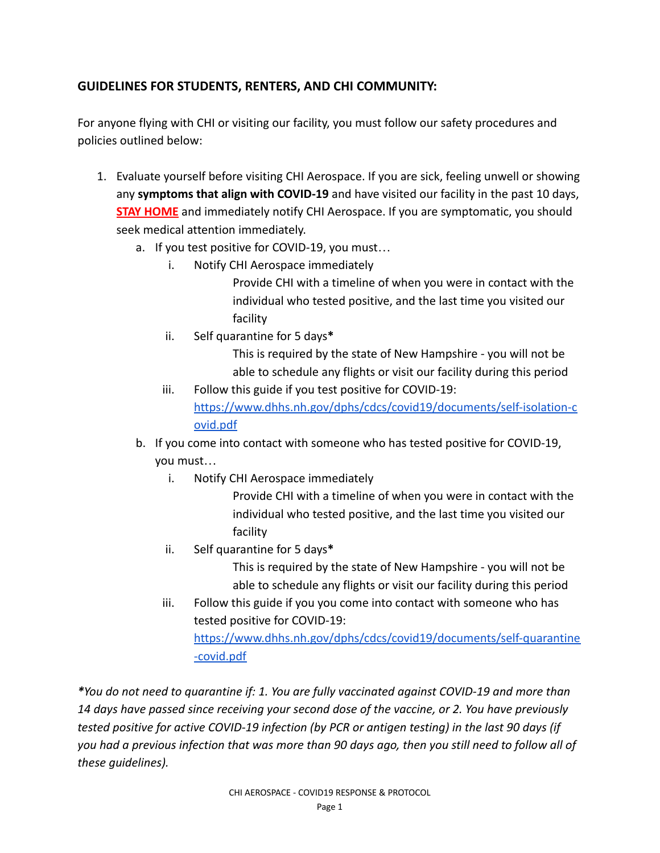### **GUIDELINES FOR STUDENTS, RENTERS, AND CHI COMMUNITY:**

For anyone flying with CHI or visiting our facility, you must follow our safety procedures and policies outlined below:

- 1. Evaluate yourself before visiting CHI Aerospace. If you are sick, feeling unwell or showing any **symptoms that align with COVID-19** and have visited our facility in the past 10 days, **STAY HOME** and immediately notify CHI Aerospace. If you are symptomatic, you should seek medical attention immediately.
	- a. If you test positive for COVID-19, you must…
		- i. Notify CHI Aerospace immediately

Provide CHI with a timeline of when you were in contact with the individual who tested positive, and the last time you visited our facility

ii. Self quarantine for 5 days**\***

This is required by the state of New Hampshire - you will not be able to schedule any flights or visit our facility during this period

- iii. Follow this guide if you test positive for COVID-19: [https://www.dhhs.nh.gov/dphs/cdcs/covid19/documents/self-isolation-c](https://www.dhhs.nh.gov/dphs/cdcs/covid19/documents/self-isolation-covid.pdf) [ovid.pdf](https://www.dhhs.nh.gov/dphs/cdcs/covid19/documents/self-isolation-covid.pdf)
- b. If you come into contact with someone who has tested positive for COVID-19, you must…
	- i. Notify CHI Aerospace immediately

Provide CHI with a timeline of when you were in contact with the individual who tested positive, and the last time you visited our facility

ii. Self quarantine for 5 days**\***

This is required by the state of New Hampshire - you will not be able to schedule any flights or visit our facility during this period

iii. Follow this guide if you you come into contact with someone who has tested positive for COVID-19:

[https://www.dhhs.nh.gov/dphs/cdcs/covid19/documents/self-quarantine](https://www.dhhs.nh.gov/dphs/cdcs/covid19/documents/self-quarantine-covid.pdf) [-covid.pdf](https://www.dhhs.nh.gov/dphs/cdcs/covid19/documents/self-quarantine-covid.pdf)

*\*You do not need to quarantine if: 1. You are fully vaccinated against COVID-19 and more than 14 days have passed since receiving your second dose of the vaccine, or 2. You have previously tested positive for active COVID-19 infection (by PCR or antigen testing) in the last 90 days (if you had a previous infection that was more than 90 days ago, then you still need to follow all of these guidelines).*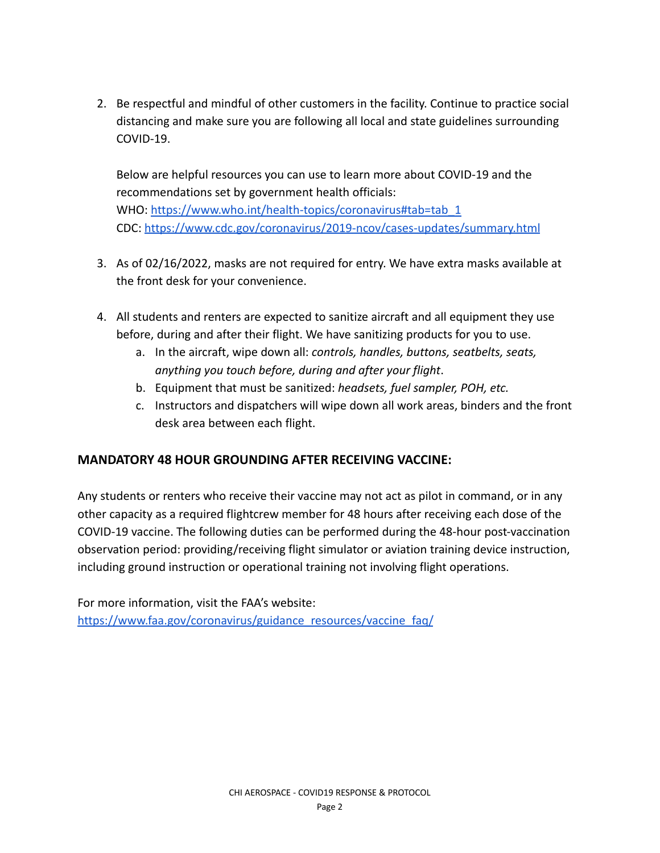2. Be respectful and mindful of other customers in the facility. Continue to practice social distancing and make sure you are following all local and state guidelines surrounding COVID-19.

Below are helpful resources you can use to learn more about COVID-19 and the recommendations set by government health officials: WHO: [https://www.who.int/health-topics/coronavirus#tab=tab\\_1](https://www.who.int/health-topics/coronavirus#tab=tab_1) CDC: [https://www.cdc.gov/coronavirus/2019-ncov/cases-updates/summary.html](https://www.cdc.gov/coronavirus/2019-ncov/cases-updates/summary.html?CDC_AA_refVal=https%3A%2F%2Fwww.cdc.gov%2Fcoronavirus%2F2019-ncov%2Fsummary.html)

- 3. As of 02/16/2022, masks are not required for entry. We have extra masks available at the front desk for your convenience.
- 4. All students and renters are expected to sanitize aircraft and all equipment they use before, during and after their flight. We have sanitizing products for you to use.
	- a. In the aircraft, wipe down all: *controls, handles, buttons, seatbelts, seats, anything you touch before, during and after your flight*.
	- b. Equipment that must be sanitized: *headsets, fuel sampler, POH, etc.*
	- c. Instructors and dispatchers will wipe down all work areas, binders and the front desk area between each flight.

### **MANDATORY 48 HOUR GROUNDING AFTER RECEIVING VACCINE:**

Any students or renters who receive their vaccine may not act as pilot in command, or in any other capacity as a required flightcrew member for 48 hours after receiving each dose of the COVID-19 vaccine. The following duties can be performed during the 48-hour post-vaccination observation period: providing/receiving flight simulator or aviation training device instruction, including ground instruction or operational training not involving flight operations.

For more information, visit the FAA's website: [https://www.faa.gov/coronavirus/guidance\\_resources/vaccine\\_faq/](https://www.faa.gov/coronavirus/guidance_resources/vaccine_faq/)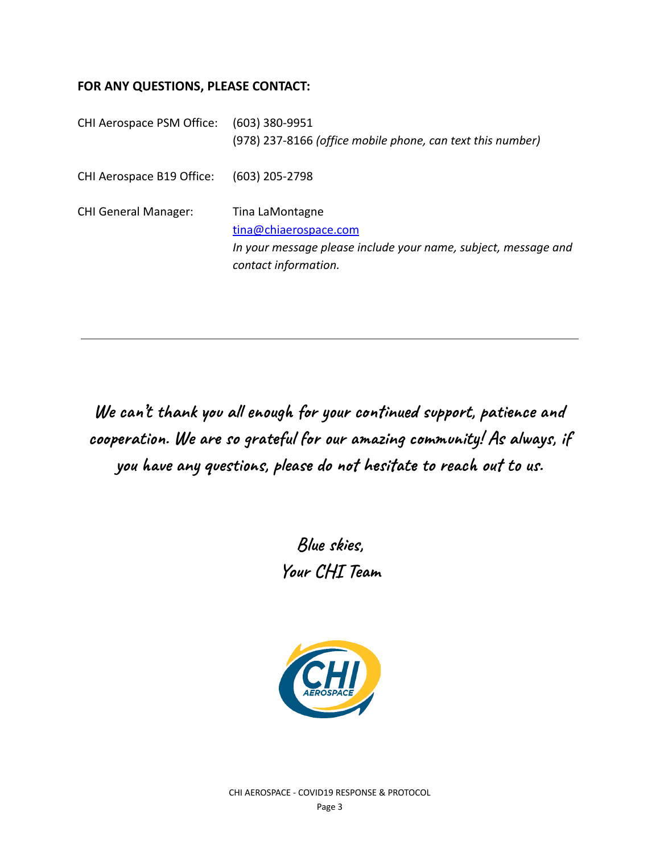#### **FOR ANY QUESTIONS, PLEASE CONTACT:**

| CHI Aerospace PSM Office:   | $(603)$ 380-9951                                               |
|-----------------------------|----------------------------------------------------------------|
|                             | (978) 237-8166 (office mobile phone, can text this number)     |
| CHI Aerospace B19 Office:   | $(603)$ 205-2798                                               |
| <b>CHI General Manager:</b> | Tina LaMontagne                                                |
|                             |                                                                |
|                             | tina@chiaerospace.com                                          |
|                             | In your message please include your name, subject, message and |
|                             | contact information.                                           |

**We can 't thank you all enough for your continued support, patience and cooperation. We are so grateful for our amazing community! As always, if you have any questions, please do not hesitate to reach out to us.**

> **Blue skies, Your CHI Team**